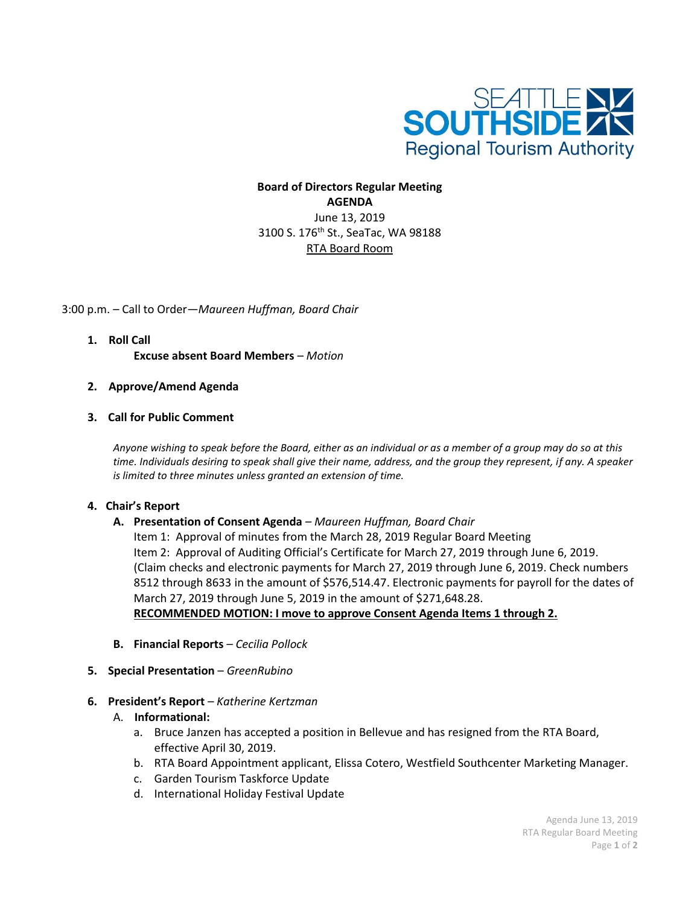

## **Board of Directors Regular Meeting AGENDA** June 13, 2019 3100 S. 176th St., SeaTac, WA 98188 RTA Board Room

3:00 p.m. – Call to Order—*Maureen Huffman, Board Chair*

- **1. Roll Call Excuse absent Board Members** *– Motion*
- **2. Approve/Amend Agenda**
- **3. Call for Public Comment**

*Anyone wishing to speak before the Board, either as an individual or as a member of a group may do so at this time. Individuals desiring to speak shall give their name, address, and the group they represent, if any. A speaker is limited to three minutes unless granted an extension of time.*

## **4. Chair's Report**

**A. Presentation of Consent Agenda** *– Maureen Huffman, Board Chair*

Item 1: Approval of minutes from the March 28, 2019 Regular Board Meeting Item 2: Approval of Auditing Official's Certificate for March 27, 2019 through June 6, 2019. (Claim checks and electronic payments for March 27, 2019 through June 6, 2019. Check numbers 8512 through 8633 in the amount of \$576,514.47. Electronic payments for payroll for the dates of March 27, 2019 through June 5, 2019 in the amount of \$271,648.28. **RECOMMENDED MOTION: I move to approve Consent Agenda Items 1 through 2.**

- **B. Financial Reports** *– Cecilia Pollock*
- **5. Special Presentation**  *GreenRubino*
- **6. President's Report** *– Katherine Kertzman*
	- A. **Informational:**
		- a. Bruce Janzen has accepted a position in Bellevue and has resigned from the RTA Board, effective April 30, 2019.
		- b. RTA Board Appointment applicant, Elissa Cotero, Westfield Southcenter Marketing Manager.
		- c. Garden Tourism Taskforce Update
		- d. International Holiday Festival Update